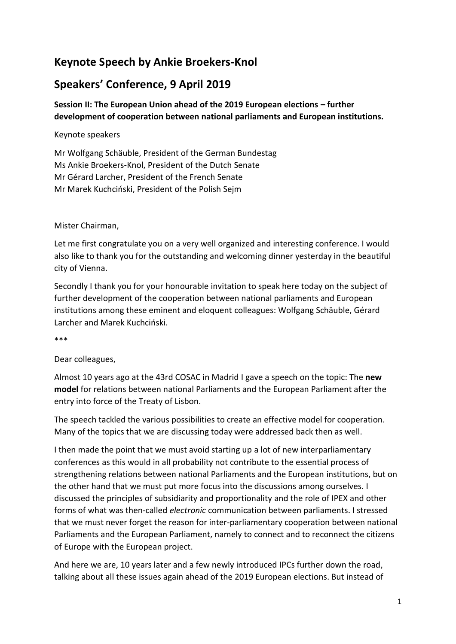# **Keynote Speech by Ankie Broekers-Knol**

# **Speakers' Conference, 9 April 2019**

## **Session II: The European Union ahead of the 2019 European elections – further development of cooperation between national parliaments and European institutions.**

### Keynote speakers

Mr Wolfgang Schäuble, President of the German Bundestag Ms Ankie Broekers-Knol, President of the Dutch Senate Mr Gérard Larcher, President of the French Senate Mr Marek Kuchciński, President of the Polish Sejm

#### Mister Chairman,

Let me first congratulate you on a very well organized and interesting conference. I would also like to thank you for the outstanding and welcoming dinner yesterday in the beautiful city of Vienna.

Secondly I thank you for your honourable invitation to speak here today on the subject of further development of the cooperation between national parliaments and European institutions among these eminent and eloquent colleagues: Wolfgang Schäuble, Gérard Larcher and Marek Kuchciński.

\*\*\*

### Dear colleagues,

Almost 10 years ago at the 43rd COSAC in Madrid I gave a speech on the topic: The **new model** for relations between national Parliaments and the European Parliament after the entry into force of the Treaty of Lisbon.

The speech tackled the various possibilities to create an effective model for cooperation. Many of the topics that we are discussing today were addressed back then as well.

I then made the point that we must avoid starting up a lot of new interparliamentary conferences as this would in all probability not contribute to the essential process of strengthening relations between national Parliaments and the European institutions, but on the other hand that we must put more focus into the discussions among ourselves. I discussed the principles of subsidiarity and proportionality and the role of IPEX and other forms of what was then-called *electronic* communication between parliaments. I stressed that we must never forget the reason for inter-parliamentary cooperation between national Parliaments and the European Parliament, namely to connect and to reconnect the citizens of Europe with the European project.

And here we are, 10 years later and a few newly introduced IPCs further down the road, talking about all these issues again ahead of the 2019 European elections. But instead of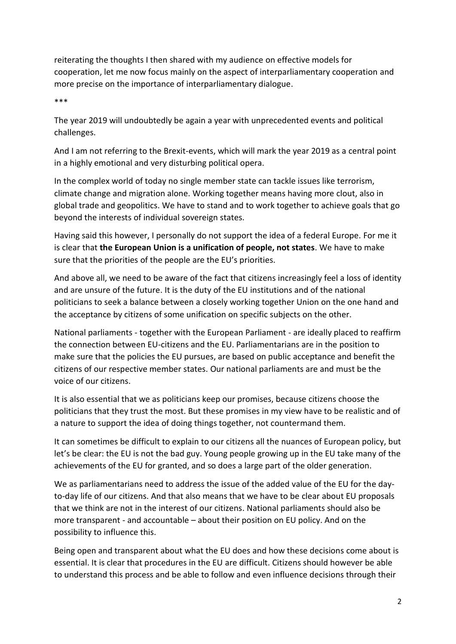reiterating the thoughts I then shared with my audience on effective models for cooperation, let me now focus mainly on the aspect of interparliamentary cooperation and more precise on the importance of interparliamentary dialogue.

\*\*\*

The year 2019 will undoubtedly be again a year with unprecedented events and political challenges.

And I am not referring to the Brexit-events, which will mark the year 2019 as a central point in a highly emotional and very disturbing political opera.

In the complex world of today no single member state can tackle issues like terrorism, climate change and migration alone. Working together means having more clout, also in global trade and geopolitics. We have to stand and to work together to achieve goals that go beyond the interests of individual sovereign states.

Having said this however, I personally do not support the idea of a federal Europe. For me it is clear that **the European Union is a unification of people, not states**. We have to make sure that the priorities of the people are the EU's priorities.

And above all, we need to be aware of the fact that citizens increasingly feel a loss of identity and are unsure of the future. It is the duty of the EU institutions and of the national politicians to seek a balance between a closely working together Union on the one hand and the acceptance by citizens of some unification on specific subjects on the other.

National parliaments - together with the European Parliament - are ideally placed to reaffirm the connection between EU-citizens and the EU. Parliamentarians are in the position to make sure that the policies the EU pursues, are based on public acceptance and benefit the citizens of our respective member states. Our national parliaments are and must be the voice of our citizens.

It is also essential that we as politicians keep our promises, because citizens choose the politicians that they trust the most. But these promises in my view have to be realistic and of a nature to support the idea of doing things together, not countermand them.

It can sometimes be difficult to explain to our citizens all the nuances of European policy, but let's be clear: the EU is not the bad guy. Young people growing up in the EU take many of the achievements of the EU for granted, and so does a large part of the older generation.

We as parliamentarians need to address the issue of the added value of the EU for the dayto-day life of our citizens. And that also means that we have to be clear about EU proposals that we think are not in the interest of our citizens. National parliaments should also be more transparent - and accountable – about their position on EU policy. And on the possibility to influence this.

Being open and transparent about what the EU does and how these decisions come about is essential. It is clear that procedures in the EU are difficult. Citizens should however be able to understand this process and be able to follow and even influence decisions through their